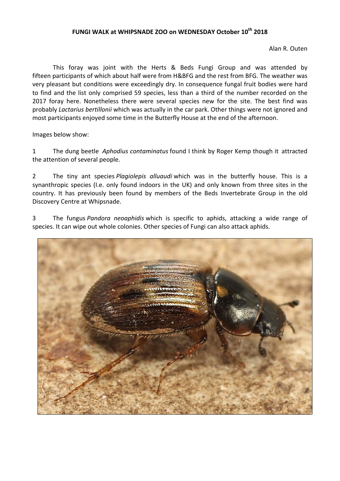## FUNGI WALK at WHIPSNADE ZOO on WEDNESDAY October 10<sup>th</sup> 2018

Alan R. Outen

This foray was joint with the Herts & Beds Fungi Group and was attended by fifteen participants of which about half were from H&BFG and the rest from BFG. The weather was very pleasant but conditions were exceedingly dry. In consequence fungal fruit bodies were hard to find and the list only comprised 59 species, less than a third of the number recorded on the 2017 foray here. Nonetheless there were several species new for the site. The best find was probably *Lactarius bertillonii* which was actually in the car park. Other things were not ignored and most participants enjoyed some time in the Butterfly House at the end of the afternoon.

Images below show:

1 The dung beetle *Aphodius contaminatus* found I think by Roger Kemp though it attracted the attention of several people.

2 The tiny ant species *Plagiolepis alluaudi* which was in the butterfly house. This is a synanthropic species (I.e. only found indoors in the UK) and only known from three sites in the country. It has previously been found by members of the Beds Invertebrate Group in the old Discovery Centre at Whipsnade.

3 The fungus *Pandora neoaphidis* which is specific to aphids, attacking a wide range of species. It can wipe out whole colonies. Other species of Fungi can also attack aphids.